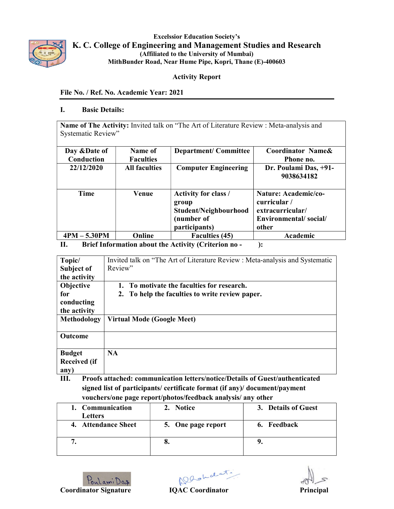

Excelssior Education Society's K. C. College of Engineering and Management Studies and Research (Affiliated to the University of Mumbai) MithBunder Road, Near Hume Pipe, Kopri, Thane (E)-400603

## Activity Report

## File No. / Ref. No. Academic Year: 2021

#### I. Basic Details:

Name of The Activity: Invited talk on "The Art of Literature Review : Meta-analysis and Systematic Review"

| Day & Date of<br>Conduction | Name of<br><b>Faculties</b> | <b>Department/Committee</b>                                                           | Coordinator Name&<br>Phone no.                                                            |
|-----------------------------|-----------------------------|---------------------------------------------------------------------------------------|-------------------------------------------------------------------------------------------|
| 22/12/2020                  | <b>All faculties</b>        | <b>Computer Engineering</b>                                                           | Dr. Poulami Das, +91-<br>9038634182                                                       |
| Time                        | Venue                       | Activity for class /<br>group<br>Student/Neighbourhood<br>(number of<br>participants) | Nature: Academic/co-<br>curricular/<br>extracurricular/<br>Environmental/social/<br>other |
| $4PM - 5.30PM$              | Online                      | <b>Faculties (45)</b>                                                                 | Academic                                                                                  |

## II. Brief Information about the Activity (Criterion no - ):

| Topic/              | Invited talk on "The Art of Literature Review : Meta-analysis and Systematic |
|---------------------|------------------------------------------------------------------------------|
| Subject of          | Review"                                                                      |
| the activity        |                                                                              |
| Objective           | To motivate the faculties for research.                                      |
| for                 | 2. To help the faculties to write review paper.                              |
| conducting          |                                                                              |
| the activity        |                                                                              |
| Methodology         | <b>Virtual Mode (Google Meet)</b>                                            |
|                     |                                                                              |
| <b>Outcome</b>      |                                                                              |
|                     |                                                                              |
| <b>Budget</b>       | <b>NA</b>                                                                    |
| <b>Received (if</b> |                                                                              |
| any)                |                                                                              |

III. Proofs attached: communication letters/notice/Details of Guest/authenticated signed list of participants/ certificate format (if any)/ document/payment vouchers/one page report/photos/feedback analysis/ any other

| <b>Communication</b><br><b>Letters</b> | 2. Notice          | 3. Details of Guest |
|----------------------------------------|--------------------|---------------------|
| 4. Attendance Sheet                    | 5. One page report | 6. Feedback         |
|                                        | o.                 |                     |

Poularni Das Reachard IQAC Coordinator Principal